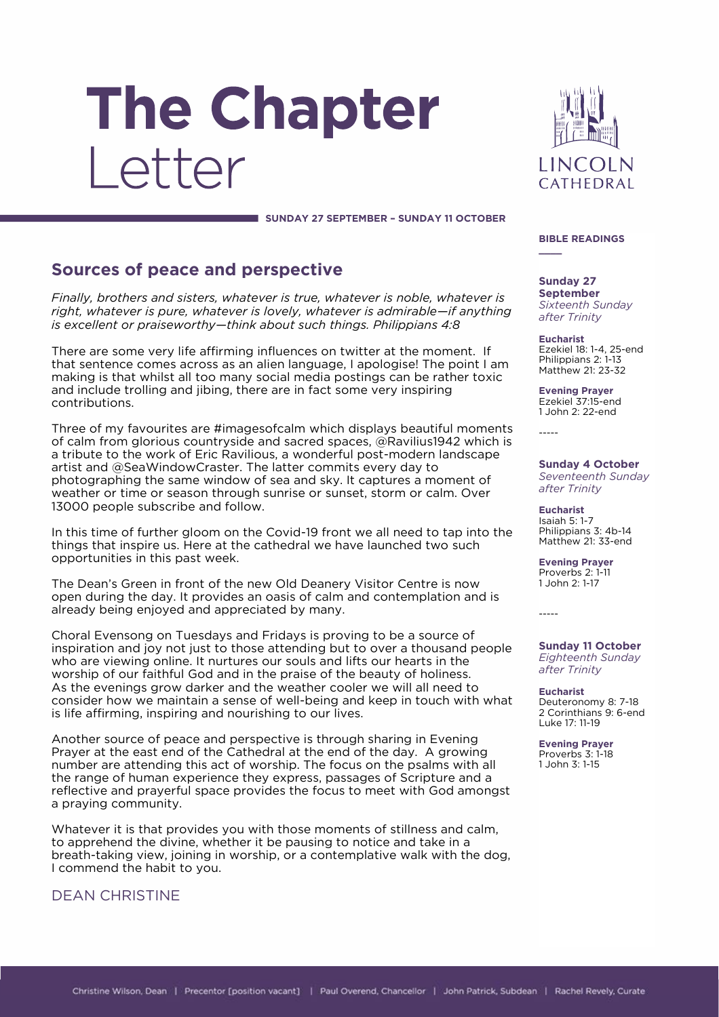# The Chapter Letter



SUNDAY 27 SEPTEMBER - SUNDAY 11 OCTOBER

**Sources of peace and perspective**<br>Finally, brothers and sisters, whatever is true, whatever is noble, whatever is *Fight, whatever is pure, whatever is lovely, whatever is admirable–if anything is excellent or praiseworthy-think about such things. Philippians 4:8 is excellent or praiseworthy—think about such things. Philippians 4:8*

There are some very life affirming influences on twitter at the moment. If that sentence comes across as an alien language, I apologise! The point I am making is that whilst all too many social media postings can be rather toxic and include trolling and jibing, there are in fact some very inspiring contributions. contributions.

Three of my favourites are #imagesofcalm which displays beautiful moments of calm from glorious countryside and sacred spaces, @Ravilius1942 which is a tribute to the work of Eric Ravilious, a wonderful post-modern landscape artist and @SeaWindowCraster. The latter commits every day to photographing the same window of sea and sky. It captures a moment of weather or time or season through sunrise or sunset, storm or calm. Over 13000 people subscribe and follow. 13000 people subscribe and follow.

In this time of further gloom on the Covid-19 front we all need to tap into the things that inspire us. Here at the cathedral we have launched two such opportunities in this past week. opportunities in this past week.

The Dean's Green in front of the new Old Deanery Visitor Centre is now open during the day. It provides an oasis of calm and contemplation and is already being enjoyed and appreciated by many. already being enjoyed and appreciated by many.

Choral Evensong on Tuesdays and Fridays is proving to be a source of inspiration and joy not just to those attending but to over a thousand people who are viewing online. It nurtures our souls and lifts our hearts in the worship of our faithful God and in the praise of the beauty of holiness. As the evenings grow darker and the weather cooler we will all need to consider how we maintain a sense of well-being and keep in touch with what is life affirming, inspiring and nourishing to our lives.  $\sim$  1  $\sim$  0

Another source of peace and perspective is through sharing in Evening<br>Prayer at the east end of the Cathedral at the end of the day. A growing number are attending this act of worship. The focus on the psalms with all the range of human experience they express, passages of Scripture and a reflective and prayerful space provides the focus to meet with God amongst a praying community. a praying community.

Whatever it is that provides you with those moments of stillness and calm, to apprehend the divine, whether it be pausing to notice and take in a breath-taking view, joining in worship, or a contemplative walk with the dog, I commend the habit to you. I commend the habit to you.

**DEAN CHRISTINE** 

#### **BIBLE READINGS**

**\_\_\_\_**

**Sunday 27 Sixteenth Sunday** after Trinity *after Trinity*

Ezekiel 18: 1-4, 25-end Philippians 2: 1-13 Matthew 21: 23-32

**Evening Prayer** 1.John 2: 22-end

**Sunday 4 October Seventeenth Sunday** after Trinity *after Trinity*

**Isaiah 5: 1-7** Philippians 3: 4b-14 Matthew 21: 33-end

**Evening Prayer** 1 John 2: 1-17

 $\overline{a}$ 

**Sunday 11 October** after Trinity *after Trinity*

**Eucharist**<br>Deuteronomy 8: 7-18 2 Corinthians 9: 6-end Luke 17: 11-19

**Evening Praver Proverbs 3: 1-18**  $1$ . John  $3: 1-15$